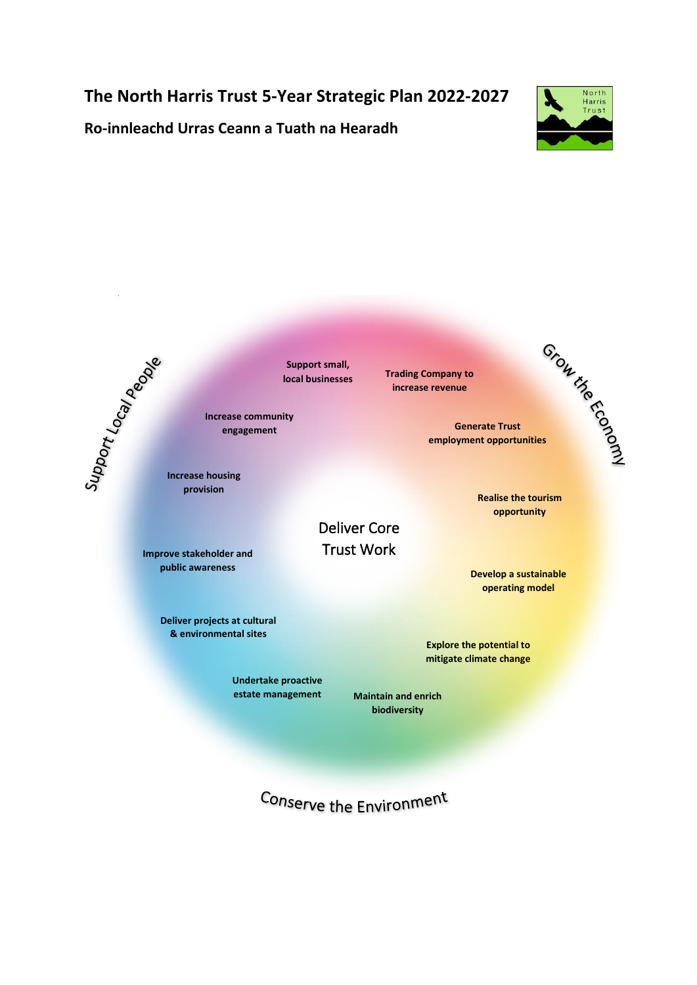# **The North Harris Trust 5-Year Strategic Plan 2022-2027**



**Ro-innleachd Urras Ceann a Tuath na Hearadh**



**Support small,** 

**Increase community engagement**

**provision**

**Improve stakeholder and public awareness**

> **Deliver projects at cultural & environmental sites**

> > **Undertake proactive estate management**

**local businesses Trading Company to increase revenue**

**Generate Trust**  employment opportunities<br>
employment opportunities

> **Realise the tourism opportunity**

**Develop a sustainable operating model**

**Explore the potential to mitigate climate change**

**Maintain and enrich biodiversity**

Conserve the Environment

Deliver Core Trust Work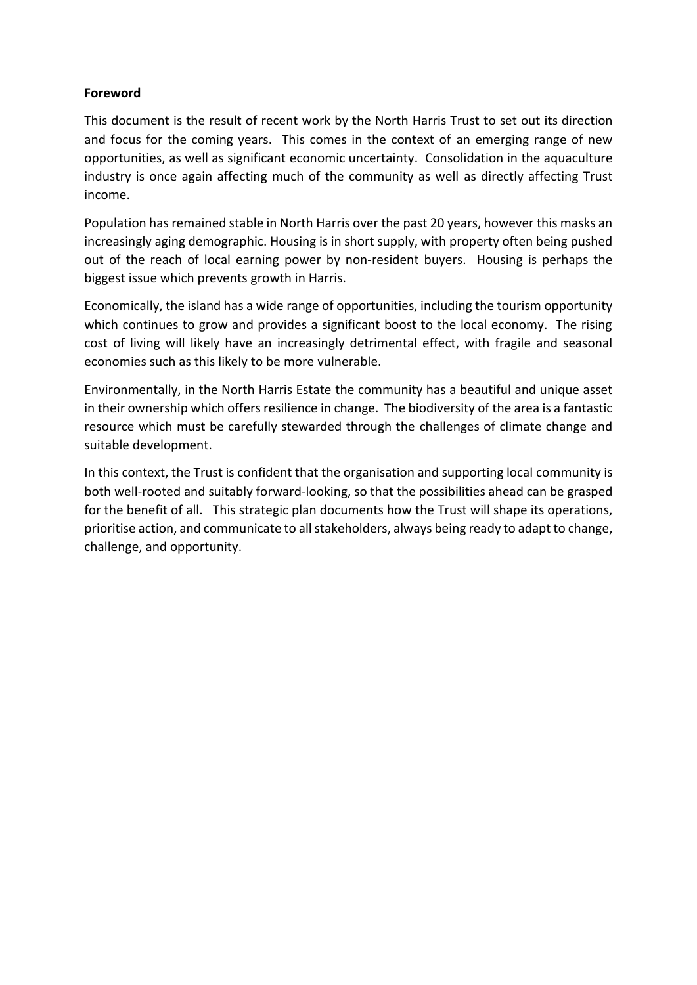# **Foreword**

This document is the result of recent work by the North Harris Trust to set out its direction and focus for the coming years. This comes in the context of an emerging range of new opportunities, as well as significant economic uncertainty. Consolidation in the aquaculture industry is once again affecting much of the community as well as directly affecting Trust income.

Population has remained stable in North Harris over the past 20 years, however this masks an increasingly aging demographic. Housing is in short supply, with property often being pushed out of the reach of local earning power by non-resident buyers. Housing is perhaps the biggest issue which prevents growth in Harris.

Economically, the island has a wide range of opportunities, including the tourism opportunity which continues to grow and provides a significant boost to the local economy. The rising cost of living will likely have an increasingly detrimental effect, with fragile and seasonal economies such as this likely to be more vulnerable.

Environmentally, in the North Harris Estate the community has a beautiful and unique asset in their ownership which offers resilience in change. The biodiversity of the area is a fantastic resource which must be carefully stewarded through the challenges of climate change and suitable development.

In this context, the Trust is confident that the organisation and supporting local community is both well-rooted and suitably forward-looking, so that the possibilities ahead can be grasped for the benefit of all. This strategic plan documents how the Trust will shape its operations, prioritise action, and communicate to all stakeholders, always being ready to adapt to change, challenge, and opportunity.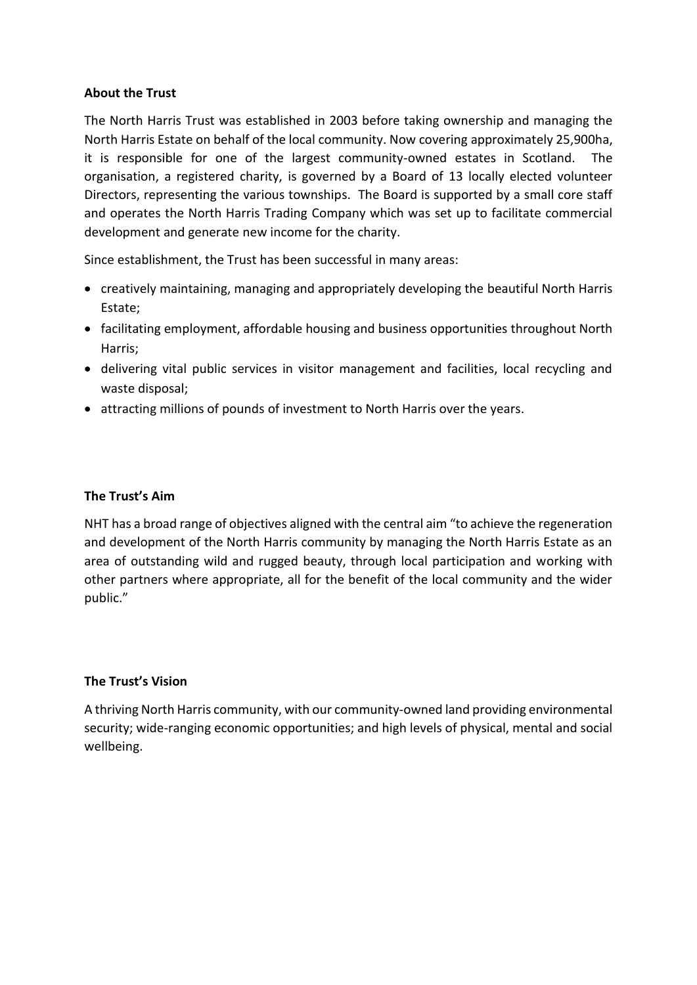## **About the Trust**

The North Harris Trust was established in 2003 before taking ownership and managing the North Harris Estate on behalf of the local community. Now covering approximately 25,900ha, it is responsible for one of the largest community-owned estates in Scotland. The organisation, a registered charity, is governed by a Board of 13 locally elected volunteer Directors, representing the various townships. The Board is supported by a small core staff and operates the North Harris Trading Company which was set up to facilitate commercial development and generate new income for the charity.

Since establishment, the Trust has been successful in many areas:

- creatively maintaining, managing and appropriately developing the beautiful North Harris Estate;
- facilitating employment, affordable housing and business opportunities throughout North Harris;
- delivering vital public services in visitor management and facilities, local recycling and waste disposal;
- attracting millions of pounds of investment to North Harris over the years.

## **The Trust's Aim**

NHT has a broad range of objectives aligned with the central aim "to achieve the regeneration and development of the North Harris community by managing the North Harris Estate as an area of outstanding wild and rugged beauty, through local participation and working with other partners where appropriate, all for the benefit of the local community and the wider public."

# **The Trust's Vision**

A thriving North Harris community, with our community-owned land providing environmental security; wide-ranging economic opportunities; and high levels of physical, mental and social wellbeing.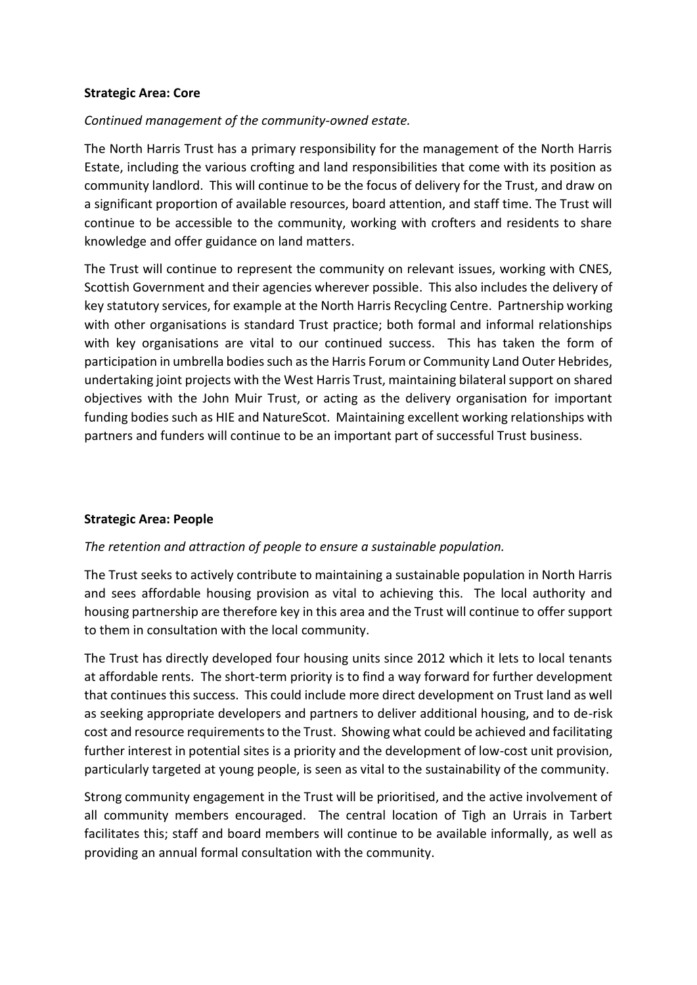#### **Strategic Area: Core**

## *Continued management of the community-owned estate.*

The North Harris Trust has a primary responsibility for the management of the North Harris Estate, including the various crofting and land responsibilities that come with its position as community landlord. This will continue to be the focus of delivery for the Trust, and draw on a significant proportion of available resources, board attention, and staff time. The Trust will continue to be accessible to the community, working with crofters and residents to share knowledge and offer guidance on land matters.

The Trust will continue to represent the community on relevant issues, working with CNES, Scottish Government and their agencies wherever possible. This also includes the delivery of key statutory services, for example at the North Harris Recycling Centre. Partnership working with other organisations is standard Trust practice; both formal and informal relationships with key organisations are vital to our continued success. This has taken the form of participation in umbrella bodies such as the Harris Forum or Community Land Outer Hebrides, undertaking joint projects with the West Harris Trust, maintaining bilateral support on shared objectives with the John Muir Trust, or acting as the delivery organisation for important funding bodies such as HIE and NatureScot. Maintaining excellent working relationships with partners and funders will continue to be an important part of successful Trust business.

#### **Strategic Area: People**

# *The retention and attraction of people to ensure a sustainable population.*

The Trust seeks to actively contribute to maintaining a sustainable population in North Harris and sees affordable housing provision as vital to achieving this. The local authority and housing partnership are therefore key in this area and the Trust will continue to offer support to them in consultation with the local community.

The Trust has directly developed four housing units since 2012 which it lets to local tenants at affordable rents. The short-term priority is to find a way forward for further development that continues this success. This could include more direct development on Trust land as well as seeking appropriate developers and partners to deliver additional housing, and to de-risk cost and resource requirements to the Trust. Showing what could be achieved and facilitating further interest in potential sites is a priority and the development of low-cost unit provision, particularly targeted at young people, is seen as vital to the sustainability of the community.

Strong community engagement in the Trust will be prioritised, and the active involvement of all community members encouraged. The central location of Tigh an Urrais in Tarbert facilitates this; staff and board members will continue to be available informally, as well as providing an annual formal consultation with the community.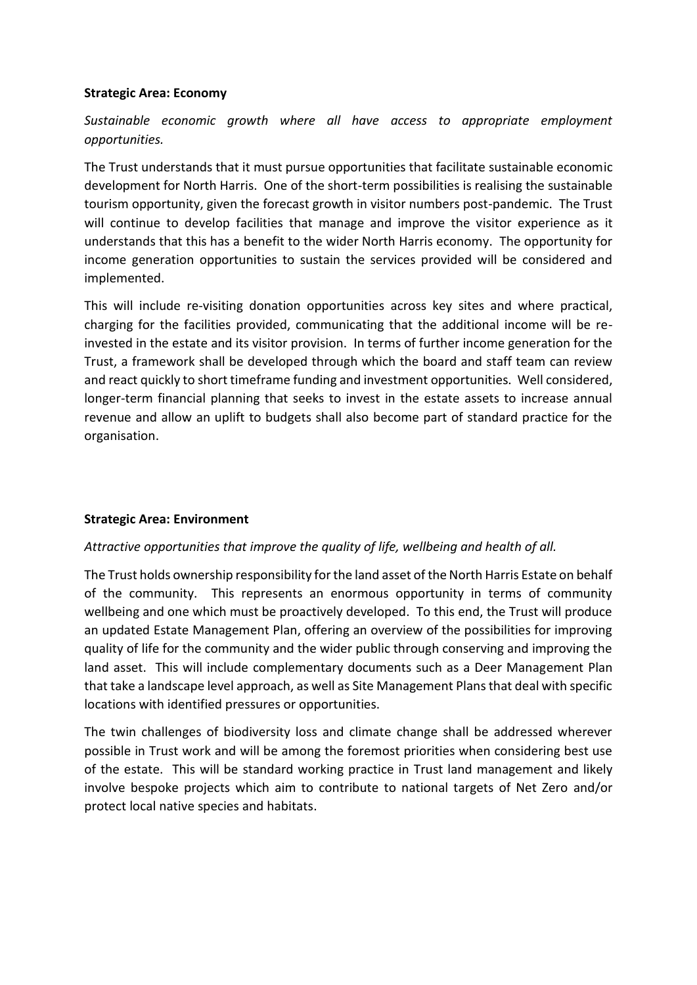## **Strategic Area: Economy**

*Sustainable economic growth where all have access to appropriate employment opportunities.*

The Trust understands that it must pursue opportunities that facilitate sustainable economic development for North Harris. One of the short-term possibilities is realising the sustainable tourism opportunity, given the forecast growth in visitor numbers post-pandemic. The Trust will continue to develop facilities that manage and improve the visitor experience as it understands that this has a benefit to the wider North Harris economy. The opportunity for income generation opportunities to sustain the services provided will be considered and implemented.

This will include re-visiting donation opportunities across key sites and where practical, charging for the facilities provided, communicating that the additional income will be reinvested in the estate and its visitor provision. In terms of further income generation for the Trust, a framework shall be developed through which the board and staff team can review and react quickly to short timeframe funding and investment opportunities. Well considered, longer-term financial planning that seeks to invest in the estate assets to increase annual revenue and allow an uplift to budgets shall also become part of standard practice for the organisation.

# **Strategic Area: Environment**

# *Attractive opportunities that improve the quality of life, wellbeing and health of all.*

The Trust holds ownership responsibility for the land asset of the North Harris Estate on behalf of the community. This represents an enormous opportunity in terms of community wellbeing and one which must be proactively developed. To this end, the Trust will produce an updated Estate Management Plan, offering an overview of the possibilities for improving quality of life for the community and the wider public through conserving and improving the land asset. This will include complementary documents such as a Deer Management Plan that take a landscape level approach, as well as Site Management Plans that deal with specific locations with identified pressures or opportunities.

The twin challenges of biodiversity loss and climate change shall be addressed wherever possible in Trust work and will be among the foremost priorities when considering best use of the estate. This will be standard working practice in Trust land management and likely involve bespoke projects which aim to contribute to national targets of Net Zero and/or protect local native species and habitats.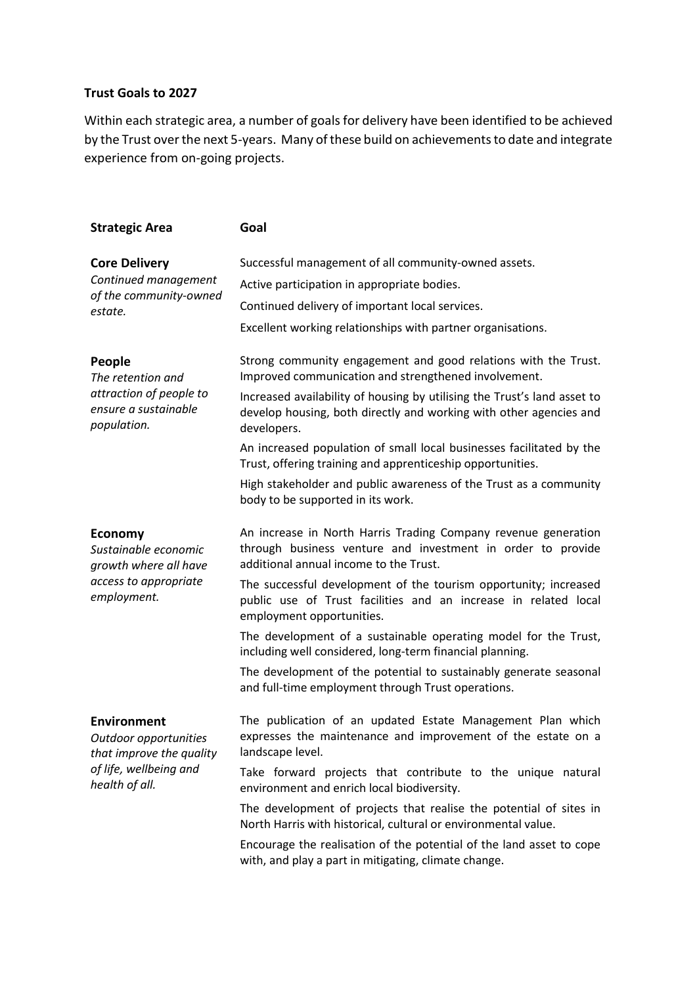#### **Trust Goals to 2027**

Within each strategic area, a number of goals for delivery have been identified to be achieved by the Trust over the next 5-years. Many of these build on achievements to date and integrate experience from on-going projects.

| <b>Strategic Area</b>                                                                                               | Goal                                                                                                                                                                    |
|---------------------------------------------------------------------------------------------------------------------|-------------------------------------------------------------------------------------------------------------------------------------------------------------------------|
| <b>Core Delivery</b><br>Continued management<br>of the community-owned<br>estate.                                   | Successful management of all community-owned assets.                                                                                                                    |
|                                                                                                                     | Active participation in appropriate bodies.                                                                                                                             |
|                                                                                                                     | Continued delivery of important local services.                                                                                                                         |
|                                                                                                                     | Excellent working relationships with partner organisations.                                                                                                             |
| People<br>The retention and<br>attraction of people to<br>ensure a sustainable<br>population.                       | Strong community engagement and good relations with the Trust.<br>Improved communication and strengthened involvement.                                                  |
|                                                                                                                     | Increased availability of housing by utilising the Trust's land asset to<br>develop housing, both directly and working with other agencies and<br>developers.           |
|                                                                                                                     | An increased population of small local businesses facilitated by the<br>Trust, offering training and apprenticeship opportunities.                                      |
|                                                                                                                     | High stakeholder and public awareness of the Trust as a community<br>body to be supported in its work.                                                                  |
| <b>Economy</b><br>Sustainable economic<br>growth where all have<br>access to appropriate<br>employment.             | An increase in North Harris Trading Company revenue generation<br>through business venture and investment in order to provide<br>additional annual income to the Trust. |
|                                                                                                                     | The successful development of the tourism opportunity; increased<br>public use of Trust facilities and an increase in related local<br>employment opportunities.        |
|                                                                                                                     | The development of a sustainable operating model for the Trust,<br>including well considered, long-term financial planning.                                             |
|                                                                                                                     | The development of the potential to sustainably generate seasonal<br>and full-time employment through Trust operations.                                                 |
| <b>Environment</b><br>Outdoor opportunities<br>that improve the quality<br>of life, wellbeing and<br>health of all. | The publication of an updated Estate Management Plan which<br>expresses the maintenance and improvement of the estate on a<br>landscape level.                          |
|                                                                                                                     | Take forward projects that contribute to the unique natural<br>environment and enrich local biodiversity.                                                               |
|                                                                                                                     | The development of projects that realise the potential of sites in<br>North Harris with historical, cultural or environmental value.                                    |
|                                                                                                                     | Encourage the realisation of the potential of the land asset to cope<br>with, and play a part in mitigating, climate change.                                            |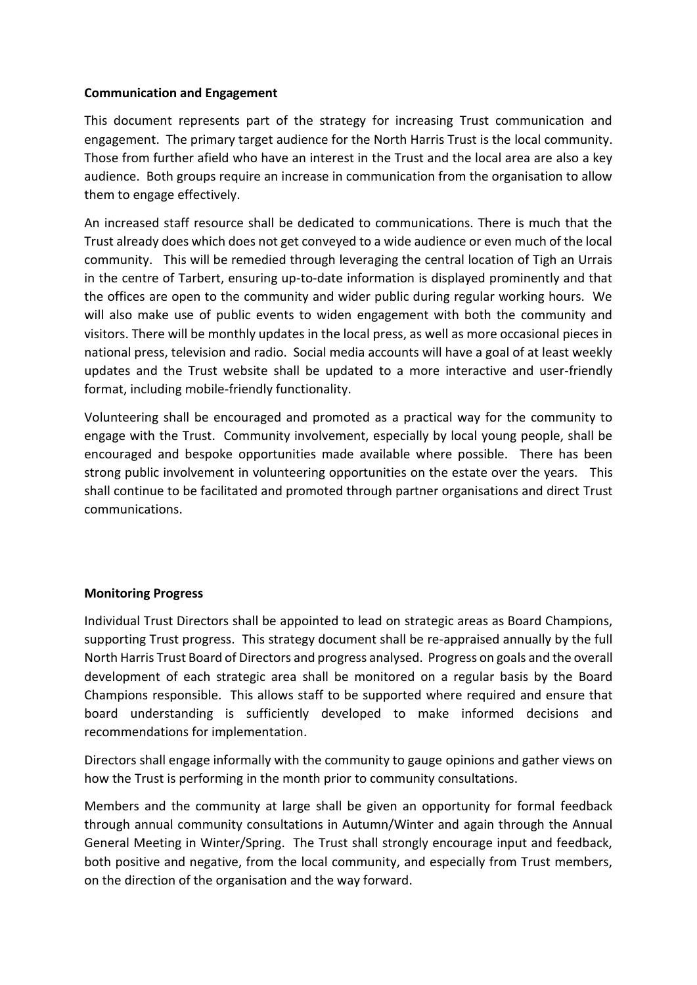## **Communication and Engagement**

This document represents part of the strategy for increasing Trust communication and engagement. The primary target audience for the North Harris Trust is the local community. Those from further afield who have an interest in the Trust and the local area are also a key audience. Both groups require an increase in communication from the organisation to allow them to engage effectively.

An increased staff resource shall be dedicated to communications. There is much that the Trust already does which does not get conveyed to a wide audience or even much of the local community. This will be remedied through leveraging the central location of Tigh an Urrais in the centre of Tarbert, ensuring up-to-date information is displayed prominently and that the offices are open to the community and wider public during regular working hours. We will also make use of public events to widen engagement with both the community and visitors. There will be monthly updates in the local press, as well as more occasional pieces in national press, television and radio. Social media accounts will have a goal of at least weekly updates and the Trust website shall be updated to a more interactive and user-friendly format, including mobile-friendly functionality.

Volunteering shall be encouraged and promoted as a practical way for the community to engage with the Trust. Community involvement, especially by local young people, shall be encouraged and bespoke opportunities made available where possible. There has been strong public involvement in volunteering opportunities on the estate over the years. This shall continue to be facilitated and promoted through partner organisations and direct Trust communications.

# **Monitoring Progress**

Individual Trust Directors shall be appointed to lead on strategic areas as Board Champions, supporting Trust progress. This strategy document shall be re-appraised annually by the full North Harris Trust Board of Directors and progress analysed. Progress on goals and the overall development of each strategic area shall be monitored on a regular basis by the Board Champions responsible. This allows staff to be supported where required and ensure that board understanding is sufficiently developed to make informed decisions and recommendations for implementation.

Directors shall engage informally with the community to gauge opinions and gather views on how the Trust is performing in the month prior to community consultations.

Members and the community at large shall be given an opportunity for formal feedback through annual community consultations in Autumn/Winter and again through the Annual General Meeting in Winter/Spring. The Trust shall strongly encourage input and feedback, both positive and negative, from the local community, and especially from Trust members, on the direction of the organisation and the way forward.